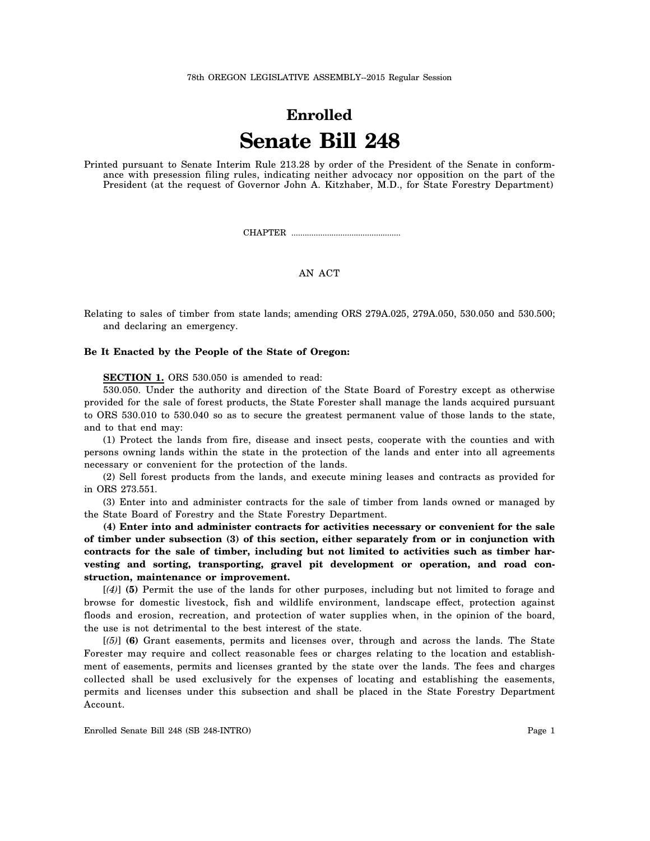### 78th OREGON LEGISLATIVE ASSEMBLY--2015 Regular Session

# **Enrolled Senate Bill 248**

Printed pursuant to Senate Interim Rule 213.28 by order of the President of the Senate in conformance with presession filing rules, indicating neither advocacy nor opposition on the part of the President (at the request of Governor John A. Kitzhaber, M.D., for State Forestry Department)

CHAPTER .................................................

## AN ACT

Relating to sales of timber from state lands; amending ORS 279A.025, 279A.050, 530.050 and 530.500; and declaring an emergency.

### **Be It Enacted by the People of the State of Oregon:**

**SECTION 1.** ORS 530.050 is amended to read:

530.050. Under the authority and direction of the State Board of Forestry except as otherwise provided for the sale of forest products, the State Forester shall manage the lands acquired pursuant to ORS 530.010 to 530.040 so as to secure the greatest permanent value of those lands to the state, and to that end may:

(1) Protect the lands from fire, disease and insect pests, cooperate with the counties and with persons owning lands within the state in the protection of the lands and enter into all agreements necessary or convenient for the protection of the lands.

(2) Sell forest products from the lands, and execute mining leases and contracts as provided for in ORS 273.551.

(3) Enter into and administer contracts for the sale of timber from lands owned or managed by the State Board of Forestry and the State Forestry Department.

**(4) Enter into and administer contracts for activities necessary or convenient for the sale of timber under subsection (3) of this section, either separately from or in conjunction with contracts for the sale of timber, including but not limited to activities such as timber harvesting and sorting, transporting, gravel pit development or operation, and road construction, maintenance or improvement.**

[*(4)*] **(5)** Permit the use of the lands for other purposes, including but not limited to forage and browse for domestic livestock, fish and wildlife environment, landscape effect, protection against floods and erosion, recreation, and protection of water supplies when, in the opinion of the board, the use is not detrimental to the best interest of the state.

[*(5)*] **(6)** Grant easements, permits and licenses over, through and across the lands. The State Forester may require and collect reasonable fees or charges relating to the location and establishment of easements, permits and licenses granted by the state over the lands. The fees and charges collected shall be used exclusively for the expenses of locating and establishing the easements, permits and licenses under this subsection and shall be placed in the State Forestry Department Account.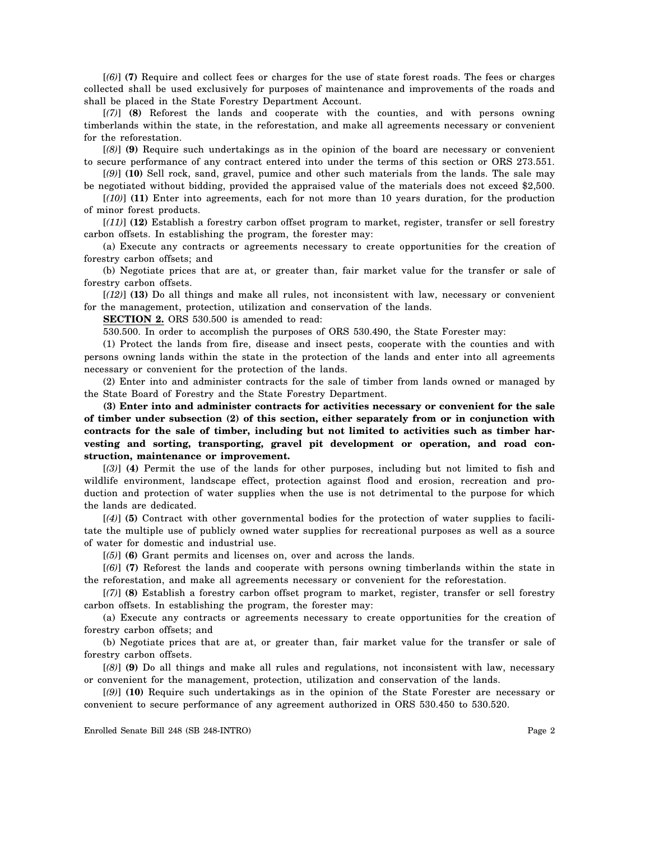[*(6)*] **(7)** Require and collect fees or charges for the use of state forest roads. The fees or charges collected shall be used exclusively for purposes of maintenance and improvements of the roads and shall be placed in the State Forestry Department Account.

[*(7)*] **(8)** Reforest the lands and cooperate with the counties, and with persons owning timberlands within the state, in the reforestation, and make all agreements necessary or convenient for the reforestation.

[*(8)*] **(9)** Require such undertakings as in the opinion of the board are necessary or convenient to secure performance of any contract entered into under the terms of this section or ORS 273.551.

[*(9)*] **(10)** Sell rock, sand, gravel, pumice and other such materials from the lands. The sale may be negotiated without bidding, provided the appraised value of the materials does not exceed \$2,500.

[*(10)*] **(11)** Enter into agreements, each for not more than 10 years duration, for the production of minor forest products.

[*(11)*] **(12)** Establish a forestry carbon offset program to market, register, transfer or sell forestry carbon offsets. In establishing the program, the forester may:

(a) Execute any contracts or agreements necessary to create opportunities for the creation of forestry carbon offsets; and

(b) Negotiate prices that are at, or greater than, fair market value for the transfer or sale of forestry carbon offsets.

[*(12)*] **(13)** Do all things and make all rules, not inconsistent with law, necessary or convenient for the management, protection, utilization and conservation of the lands.

**SECTION 2.** ORS 530.500 is amended to read:

530.500. In order to accomplish the purposes of ORS 530.490, the State Forester may:

(1) Protect the lands from fire, disease and insect pests, cooperate with the counties and with persons owning lands within the state in the protection of the lands and enter into all agreements necessary or convenient for the protection of the lands.

(2) Enter into and administer contracts for the sale of timber from lands owned or managed by the State Board of Forestry and the State Forestry Department.

**(3) Enter into and administer contracts for activities necessary or convenient for the sale of timber under subsection (2) of this section, either separately from or in conjunction with contracts for the sale of timber, including but not limited to activities such as timber harvesting and sorting, transporting, gravel pit development or operation, and road construction, maintenance or improvement.**

[*(3)*] **(4)** Permit the use of the lands for other purposes, including but not limited to fish and wildlife environment, landscape effect, protection against flood and erosion, recreation and production and protection of water supplies when the use is not detrimental to the purpose for which the lands are dedicated.

[*(4)*] **(5)** Contract with other governmental bodies for the protection of water supplies to facilitate the multiple use of publicly owned water supplies for recreational purposes as well as a source of water for domestic and industrial use.

[*(5)*] **(6)** Grant permits and licenses on, over and across the lands.

[*(6)*] **(7)** Reforest the lands and cooperate with persons owning timberlands within the state in the reforestation, and make all agreements necessary or convenient for the reforestation.

[*(7)*] **(8)** Establish a forestry carbon offset program to market, register, transfer or sell forestry carbon offsets. In establishing the program, the forester may:

(a) Execute any contracts or agreements necessary to create opportunities for the creation of forestry carbon offsets; and

(b) Negotiate prices that are at, or greater than, fair market value for the transfer or sale of forestry carbon offsets.

[*(8)*] **(9)** Do all things and make all rules and regulations, not inconsistent with law, necessary or convenient for the management, protection, utilization and conservation of the lands.

[*(9)*] **(10)** Require such undertakings as in the opinion of the State Forester are necessary or convenient to secure performance of any agreement authorized in ORS 530.450 to 530.520.

Enrolled Senate Bill 248 (SB 248-INTRO) Page 2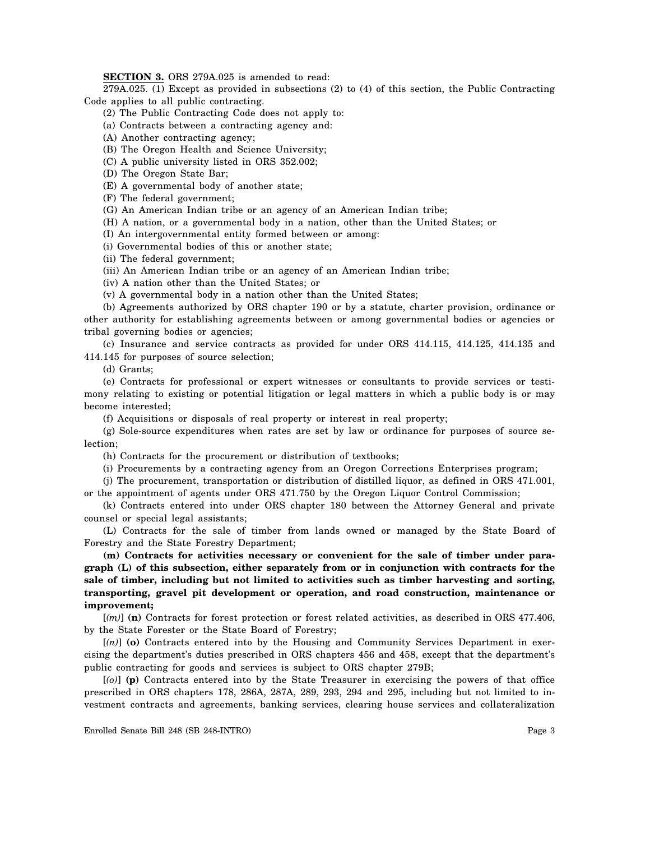## **SECTION 3.** ORS 279A.025 is amended to read:

279A.025. (1) Except as provided in subsections (2) to (4) of this section, the Public Contracting Code applies to all public contracting.

(2) The Public Contracting Code does not apply to:

(a) Contracts between a contracting agency and:

(A) Another contracting agency;

(B) The Oregon Health and Science University;

(C) A public university listed in ORS 352.002;

(D) The Oregon State Bar;

(E) A governmental body of another state;

(F) The federal government;

(G) An American Indian tribe or an agency of an American Indian tribe;

(H) A nation, or a governmental body in a nation, other than the United States; or

(I) An intergovernmental entity formed between or among:

(i) Governmental bodies of this or another state;

(ii) The federal government;

(iii) An American Indian tribe or an agency of an American Indian tribe;

(iv) A nation other than the United States; or

(v) A governmental body in a nation other than the United States;

(b) Agreements authorized by ORS chapter 190 or by a statute, charter provision, ordinance or other authority for establishing agreements between or among governmental bodies or agencies or tribal governing bodies or agencies;

(c) Insurance and service contracts as provided for under ORS 414.115, 414.125, 414.135 and 414.145 for purposes of source selection;

(d) Grants;

(e) Contracts for professional or expert witnesses or consultants to provide services or testimony relating to existing or potential litigation or legal matters in which a public body is or may become interested;

(f) Acquisitions or disposals of real property or interest in real property;

(g) Sole-source expenditures when rates are set by law or ordinance for purposes of source selection;

(h) Contracts for the procurement or distribution of textbooks;

(i) Procurements by a contracting agency from an Oregon Corrections Enterprises program;

(j) The procurement, transportation or distribution of distilled liquor, as defined in ORS 471.001,

or the appointment of agents under ORS 471.750 by the Oregon Liquor Control Commission;

(k) Contracts entered into under ORS chapter 180 between the Attorney General and private counsel or special legal assistants;

(L) Contracts for the sale of timber from lands owned or managed by the State Board of Forestry and the State Forestry Department;

**(m) Contracts for activities necessary or convenient for the sale of timber under paragraph (L) of this subsection, either separately from or in conjunction with contracts for the sale of timber, including but not limited to activities such as timber harvesting and sorting, transporting, gravel pit development or operation, and road construction, maintenance or improvement;**

[*(m)*] **(n)** Contracts for forest protection or forest related activities, as described in ORS 477.406, by the State Forester or the State Board of Forestry;

[*(n)*] **(o)** Contracts entered into by the Housing and Community Services Department in exercising the department's duties prescribed in ORS chapters 456 and 458, except that the department's public contracting for goods and services is subject to ORS chapter 279B;

[*(o)*] **(p)** Contracts entered into by the State Treasurer in exercising the powers of that office prescribed in ORS chapters 178, 286A, 287A, 289, 293, 294 and 295, including but not limited to investment contracts and agreements, banking services, clearing house services and collateralization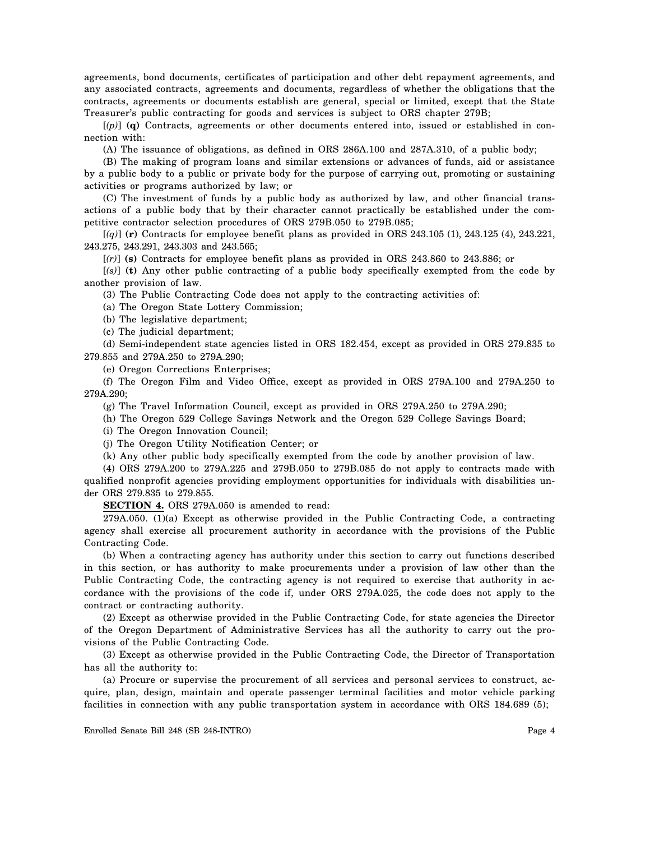agreements, bond documents, certificates of participation and other debt repayment agreements, and any associated contracts, agreements and documents, regardless of whether the obligations that the contracts, agreements or documents establish are general, special or limited, except that the State Treasurer's public contracting for goods and services is subject to ORS chapter 279B;

[*(p)*] **(q)** Contracts, agreements or other documents entered into, issued or established in connection with:

(A) The issuance of obligations, as defined in ORS 286A.100 and 287A.310, of a public body;

(B) The making of program loans and similar extensions or advances of funds, aid or assistance by a public body to a public or private body for the purpose of carrying out, promoting or sustaining activities or programs authorized by law; or

(C) The investment of funds by a public body as authorized by law, and other financial transactions of a public body that by their character cannot practically be established under the competitive contractor selection procedures of ORS 279B.050 to 279B.085;

[*(q)*] **(r)** Contracts for employee benefit plans as provided in ORS 243.105 (1), 243.125 (4), 243.221, 243.275, 243.291, 243.303 and 243.565;

[*(r)*] **(s)** Contracts for employee benefit plans as provided in ORS 243.860 to 243.886; or

[*(s)*] **(t)** Any other public contracting of a public body specifically exempted from the code by another provision of law.

(3) The Public Contracting Code does not apply to the contracting activities of:

(a) The Oregon State Lottery Commission;

(b) The legislative department;

(c) The judicial department;

(d) Semi-independent state agencies listed in ORS 182.454, except as provided in ORS 279.835 to 279.855 and 279A.250 to 279A.290;

(e) Oregon Corrections Enterprises;

(f) The Oregon Film and Video Office, except as provided in ORS 279A.100 and 279A.250 to 279A.290;

(g) The Travel Information Council, except as provided in ORS 279A.250 to 279A.290;

(h) The Oregon 529 College Savings Network and the Oregon 529 College Savings Board;

(i) The Oregon Innovation Council;

(j) The Oregon Utility Notification Center; or

(k) Any other public body specifically exempted from the code by another provision of law.

(4) ORS 279A.200 to 279A.225 and 279B.050 to 279B.085 do not apply to contracts made with qualified nonprofit agencies providing employment opportunities for individuals with disabilities under ORS 279.835 to 279.855.

**SECTION 4.** ORS 279A.050 is amended to read:

279A.050. (1)(a) Except as otherwise provided in the Public Contracting Code, a contracting agency shall exercise all procurement authority in accordance with the provisions of the Public Contracting Code.

(b) When a contracting agency has authority under this section to carry out functions described in this section, or has authority to make procurements under a provision of law other than the Public Contracting Code, the contracting agency is not required to exercise that authority in accordance with the provisions of the code if, under ORS 279A.025, the code does not apply to the contract or contracting authority.

(2) Except as otherwise provided in the Public Contracting Code, for state agencies the Director of the Oregon Department of Administrative Services has all the authority to carry out the provisions of the Public Contracting Code.

(3) Except as otherwise provided in the Public Contracting Code, the Director of Transportation has all the authority to:

(a) Procure or supervise the procurement of all services and personal services to construct, acquire, plan, design, maintain and operate passenger terminal facilities and motor vehicle parking facilities in connection with any public transportation system in accordance with ORS 184.689 (5);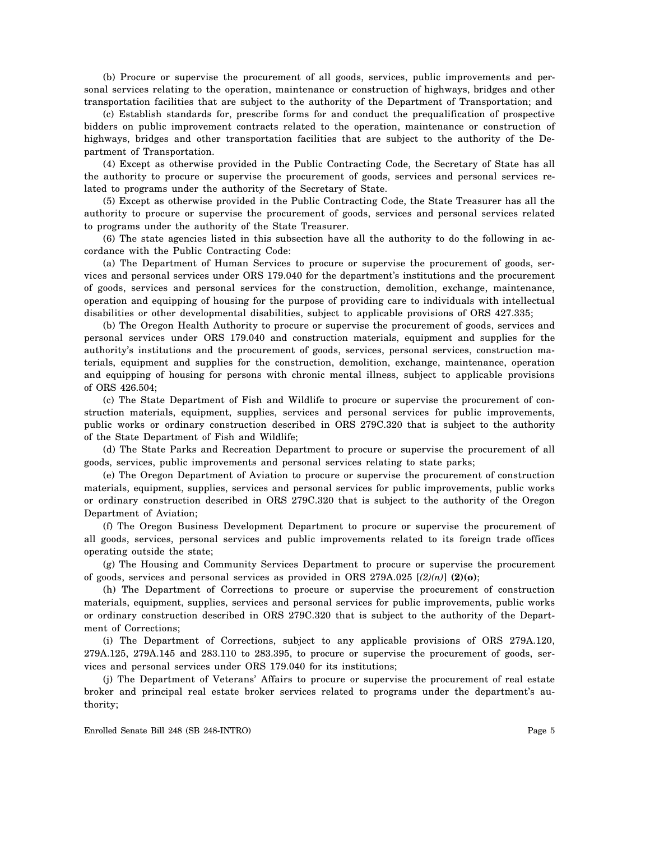(b) Procure or supervise the procurement of all goods, services, public improvements and personal services relating to the operation, maintenance or construction of highways, bridges and other transportation facilities that are subject to the authority of the Department of Transportation; and

(c) Establish standards for, prescribe forms for and conduct the prequalification of prospective bidders on public improvement contracts related to the operation, maintenance or construction of highways, bridges and other transportation facilities that are subject to the authority of the Department of Transportation.

(4) Except as otherwise provided in the Public Contracting Code, the Secretary of State has all the authority to procure or supervise the procurement of goods, services and personal services related to programs under the authority of the Secretary of State.

(5) Except as otherwise provided in the Public Contracting Code, the State Treasurer has all the authority to procure or supervise the procurement of goods, services and personal services related to programs under the authority of the State Treasurer.

(6) The state agencies listed in this subsection have all the authority to do the following in accordance with the Public Contracting Code:

(a) The Department of Human Services to procure or supervise the procurement of goods, services and personal services under ORS 179.040 for the department's institutions and the procurement of goods, services and personal services for the construction, demolition, exchange, maintenance, operation and equipping of housing for the purpose of providing care to individuals with intellectual disabilities or other developmental disabilities, subject to applicable provisions of ORS 427.335;

(b) The Oregon Health Authority to procure or supervise the procurement of goods, services and personal services under ORS 179.040 and construction materials, equipment and supplies for the authority's institutions and the procurement of goods, services, personal services, construction materials, equipment and supplies for the construction, demolition, exchange, maintenance, operation and equipping of housing for persons with chronic mental illness, subject to applicable provisions of ORS 426.504;

(c) The State Department of Fish and Wildlife to procure or supervise the procurement of construction materials, equipment, supplies, services and personal services for public improvements, public works or ordinary construction described in ORS 279C.320 that is subject to the authority of the State Department of Fish and Wildlife;

(d) The State Parks and Recreation Department to procure or supervise the procurement of all goods, services, public improvements and personal services relating to state parks;

(e) The Oregon Department of Aviation to procure or supervise the procurement of construction materials, equipment, supplies, services and personal services for public improvements, public works or ordinary construction described in ORS 279C.320 that is subject to the authority of the Oregon Department of Aviation;

(f) The Oregon Business Development Department to procure or supervise the procurement of all goods, services, personal services and public improvements related to its foreign trade offices operating outside the state;

(g) The Housing and Community Services Department to procure or supervise the procurement of goods, services and personal services as provided in ORS 279A.025 [*(2)(n)*] **(2)(o)**;

(h) The Department of Corrections to procure or supervise the procurement of construction materials, equipment, supplies, services and personal services for public improvements, public works or ordinary construction described in ORS 279C.320 that is subject to the authority of the Department of Corrections;

(i) The Department of Corrections, subject to any applicable provisions of ORS 279A.120, 279A.125, 279A.145 and 283.110 to 283.395, to procure or supervise the procurement of goods, services and personal services under ORS 179.040 for its institutions;

(j) The Department of Veterans' Affairs to procure or supervise the procurement of real estate broker and principal real estate broker services related to programs under the department's authority;